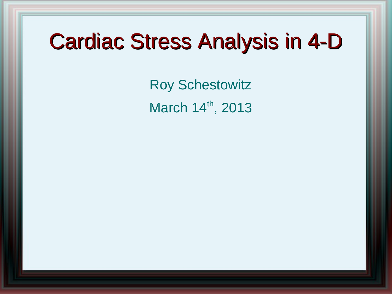### Cardiac Stress Analysis in 4-D

Roy Schestowitz March 14th, 2013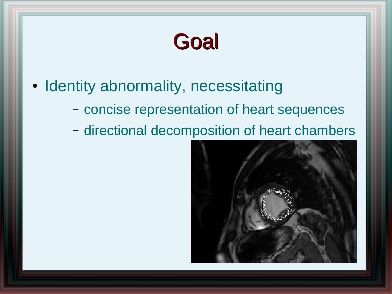#### **Goal**

- Identity abnormality, necessitating
	- concise representation of heart sequences
	- directional decomposition of heart chambers

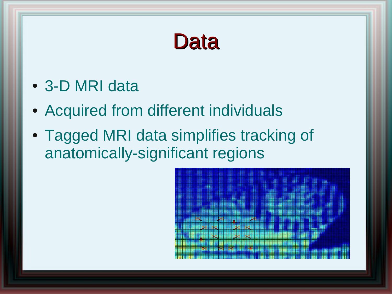#### **Data**

- 3-D MRI data
- Acquired from different individuals
- Tagged MRI data simplifies tracking of anatomically-significant regions

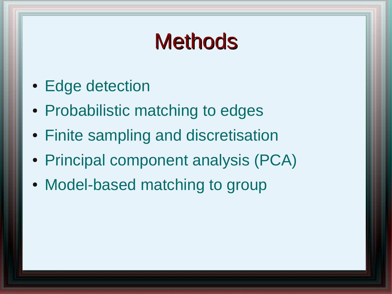## **Methods**

- Edge detection
- Probabilistic matching to edges
- Finite sampling and discretisation
- Principal component analysis (PCA)
- Model-based matching to group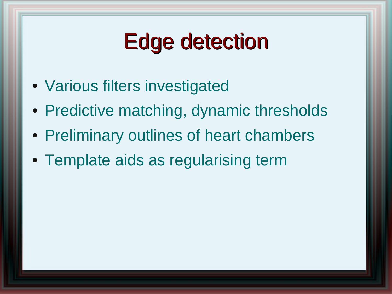# Edge detection

- Various filters investigated
- Predictive matching, dynamic thresholds
- Preliminary outlines of heart chambers
- Template aids as regularising term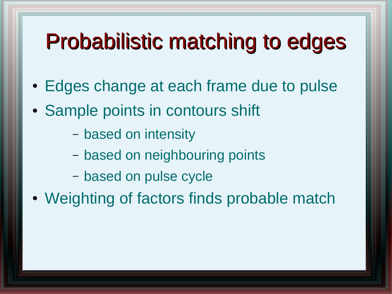## Probabilistic matching to edges

- Edges change at each frame due to pulse
- Sample points in contours shift
	- based on intensity
	- based on neighbouring points
	- based on pulse cycle
- Weighting of factors finds probable match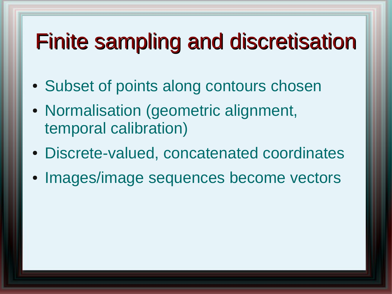# Finite sampling and discretisation

- Subset of points along contours chosen
- Normalisation (geometric alignment, temporal calibration)
- Discrete-valued, concatenated coordinates
- Images/image sequences become vectors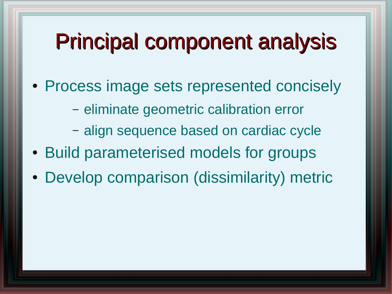## Principal component analysis

- Process image sets represented concisely
	- eliminate geometric calibration error
	- align sequence based on cardiac cycle
- Build parameterised models for groups
- Develop comparison (dissimilarity) metric